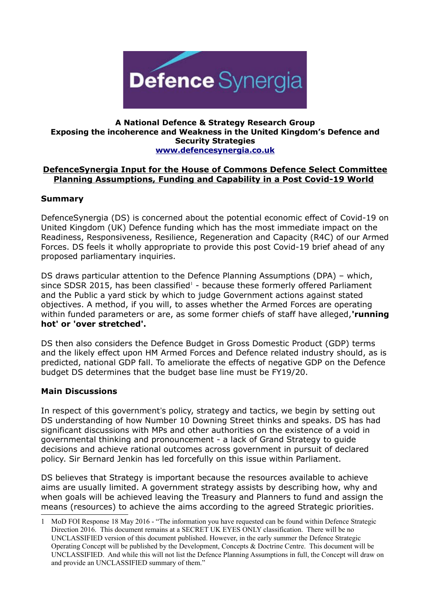

#### **A National Defence & Strategy Research Group Exposing the incoherence and Weakness in the United Kingdom's Defence and Security Strategies [www.defencesynergia.co.uk](http://www.defencesynergia.co.uk/)**

### **DefenceSynergia Input for the House of Commons Defence Select Committee Planning Assumptions, Funding and Capability in a Post Covid-19 World**

### **Summary**

DefenceSynergia (DS) is concerned about the potential economic effect of Covid-19 on United Kingdom (UK) Defence funding which has the most immediate impact on the Readiness, Responsiveness, Resilience, Regeneration and Capacity (R4C) of our Armed Forces. DS feels it wholly appropriate to provide this post Covid-19 brief ahead of any proposed parliamentary inquiries.

DS draws particular attention to the Defence Planning Assumptions (DPA) – which, since SDSR 20[1](#page-0-0)5, has been classified $<sup>1</sup>$  - because these formerly offered Parliament</sup> and the Public a yard stick by which to judge Government actions against stated objectives. A method, if you will, to asses whether the Armed Forces are operating within funded parameters or are, as some former chiefs of staff have alleged,**'running hot' or 'over stretched'.** 

DS then also considers the Defence Budget in Gross Domestic Product (GDP) terms and the likely effect upon HM Armed Forces and Defence related industry should, as is predicted, national GDP fall. To ameliorate the effects of negative GDP on the Defence budget DS determines that the budget base line must be FY19/20.

## **Main Discussions**

In respect of this government's policy, strategy and tactics, we begin by setting out DS understanding of how Number 10 Downing Street thinks and speaks. DS has had significant discussions with MPs and other authorities on the existence of a void in governmental thinking and pronouncement - a lack of Grand Strategy to guide decisions and achieve rational outcomes across government in pursuit of declared policy. Sir Bernard Jenkin has led forcefully on this issue within Parliament.

DS believes that Strategy is important because the resources available to achieve aims are usually limited. A government strategy assists by describing how, why and when goals will be achieved leaving the Treasury and Planners to fund and assign the means (resources) to achieve the aims according to the agreed Strategic priorities.

<span id="page-0-0"></span><sup>1</sup> MoD FOI Response 18 May 2016 - "The information you have requested can be found within Defence Strategic Direction 2016. This document remains at a SECRET UK EYES ONLY classification. There will be no UNCLASSIFIED version of this document published. However, in the early summer the Defence Strategic Operating Concept will be published by the Development, Concepts & Doctrine Centre. This document will be UNCLASSIFIED. And while this will not list the Defence Planning Assumptions in full, the Concept will draw on and provide an UNCLASSIFIED summary of them."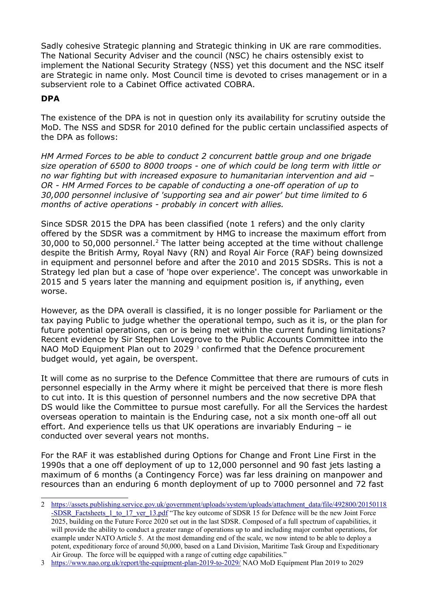Sadly cohesive Strategic planning and Strategic thinking in UK are rare commodities. The National Security Adviser and the council (NSC) he chairs ostensibly exist to implement the National Security Strategy (NSS) yet this document and the NSC itself are Strategic in name only. Most Council time is devoted to crises management or in a subservient role to a Cabinet Office activated COBRA.

# **DPA**

The existence of the DPA is not in question only its availability for scrutiny outside the MoD. The NSS and SDSR for 2010 defined for the public certain unclassified aspects of the DPA as follows:

*HM Armed Forces to be able to conduct 2 concurrent battle group and one brigade size operation of 6500 to 8000 troops - one of which could be long term with little or no war fighting but with increased exposure to humanitarian intervention and aid – OR - HM Armed Forces to be capable of conducting a one-off operation of up to 30,000 personnel inclusive of 'supporting sea and air power' but time limited to 6 months of active operations - probably in concert with allies.*

Since SDSR 2015 the DPA has been classified (note 1 refers) and the only clarity offered by the SDSR was a commitment by HMG to increase the maximum effort from 30,000 to 50,000 personnel.<sup>[2](#page-1-0)</sup> The latter being accepted at the time without challenge despite the British Army, Royal Navy (RN) and Royal Air Force (RAF) being downsized in equipment and personnel before and after the 2010 and 2015 SDSRs. This is not a Strategy led plan but a case of 'hope over experience'. The concept was unworkable in 2015 and 5 years later the manning and equipment position is, if anything, even worse.

However, as the DPA overall is classified, it is no longer possible for Parliament or the tax paying Public to judge whether the operational tempo, such as it is, or the plan for future potential operations, can or is being met within the current funding limitations? Recent evidence by Sir Stephen Lovegrove to the Public Accounts Committee into the NAO MoD Equipment Plan out to 2029  $3$  confirmed that the Defence procurement budget would, yet again, be overspent.

It will come as no surprise to the Defence Committee that there are rumours of cuts in personnel especially in the Army where it might be perceived that there is more flesh to cut into. It is this question of personnel numbers and the now secretive DPA that DS would like the Committee to pursue most carefully. For all the Services the hardest overseas operation to maintain is the Enduring case, not a six month one-off all out effort. And experience tells us that UK operations are invariably Enduring – ie conducted over several years not months.

For the RAF it was established during Options for Change and Front Line First in the 1990s that a one off deployment of up to 12,000 personnel and 90 fast jets lasting a maximum of 6 months (a Contingency Force) was far less draining on manpower and resources than an enduring 6 month deployment of up to 7000 personnel and 72 fast

<span id="page-1-0"></span><sup>2</sup> [https://assets.publishing.service.gov.uk/government/uploads/system/uploads/attachment\\_data/file/492800/20150118](https://assets.publishing.service.gov.uk/government/uploads/system/uploads/attachment_data/file/492800/20150118-SDSR_Factsheets_1_to_17_ver_13.pdf) [-SDSR\\_Factsheets\\_1\\_to\\_17\\_ver\\_13.pdf](https://assets.publishing.service.gov.uk/government/uploads/system/uploads/attachment_data/file/492800/20150118-SDSR_Factsheets_1_to_17_ver_13.pdf) "The key outcome of SDSR 15 for Defence will be the new Joint Force 2025, building on the Future Force 2020 set out in the last SDSR. Composed of a full spectrum of capabilities, it will provide the ability to conduct a greater range of operations up to and including major combat operations, for example under NATO Article 5. At the most demanding end of the scale, we now intend to be able to deploy a potent, expeditionary force of around 50,000, based on a Land Division, Maritime Task Group and Expeditionary Air Group. The force will be equipped with a range of cutting edge capabilities."

<span id="page-1-1"></span><sup>3</sup> <https://www.nao.org.uk/report/the-equipment-plan-2019-to-2029/>NAO MoD Equipment Plan 2019 to 2029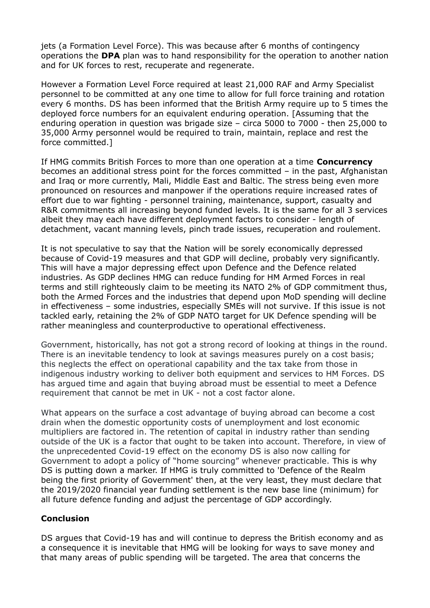jets (a Formation Level Force). This was because after 6 months of contingency operations the **DPA** plan was to hand responsibility for the operation to another nation and for UK forces to rest, recuperate and regenerate.

However a Formation Level Force required at least 21,000 RAF and Army Specialist personnel to be committed at any one time to allow for full force training and rotation every 6 months. DS has been informed that the British Army require up to 5 times the deployed force numbers for an equivalent enduring operation. [Assuming that the enduring operation in question was brigade size – circa 5000 to 7000 - then 25,000 to 35,000 Army personnel would be required to train, maintain, replace and rest the force committed.]

If HMG commits British Forces to more than one operation at a time **Concurrency** becomes an additional stress point for the forces committed – in the past, Afghanistan and Iraq or more currently, Mali, Middle East and Baltic. The stress being even more pronounced on resources and manpower if the operations require increased rates of effort due to war fighting - personnel training, maintenance, support, casualty and R&R commitments all increasing beyond funded levels. It is the same for all 3 services albeit they may each have different deployment factors to consider - length of detachment, vacant manning levels, pinch trade issues, recuperation and roulement.

It is not speculative to say that the Nation will be sorely economically depressed because of Covid-19 measures and that GDP will decline, probably very significantly. This will have a major depressing effect upon Defence and the Defence related industries. As GDP declines HMG can reduce funding for HM Armed Forces in real terms and still righteously claim to be meeting its NATO 2% of GDP commitment thus, both the Armed Forces and the industries that depend upon MoD spending will decline in effectiveness – some industries, especially SMEs will not survive. If this issue is not tackled early, retaining the 2% of GDP NATO target for UK Defence spending will be rather meaningless and counterproductive to operational effectiveness.

Government, historically, has not got a strong record of looking at things in the round. There is an inevitable tendency to look at savings measures purely on a cost basis; this neglects the effect on operational capability and the tax take from those in indigenous industry working to deliver both equipment and services to HM Forces. DS has argued time and again that buying abroad must be essential to meet a Defence requirement that cannot be met in UK - not a cost factor alone.

What appears on the surface a cost advantage of buying abroad can become a cost drain when the domestic opportunity costs of unemployment and lost economic multipliers are factored in. The retention of capital in industry rather than sending outside of the UK is a factor that ought to be taken into account. Therefore, in view of the unprecedented Covid-19 effect on the economy DS is also now calling for Government to adopt a policy of "home sourcing" whenever practicable. This is why DS is putting down a marker. If HMG is truly committed to 'Defence of the Realm being the first priority of Government' then, at the very least, they must declare that the 2019/2020 financial year funding settlement is the new base line (minimum) for all future defence funding and adjust the percentage of GDP accordingly.

# **Conclusion**

DS argues that Covid-19 has and will continue to depress the British economy and as a consequence it is inevitable that HMG will be looking for ways to save money and that many areas of public spending will be targeted. The area that concerns the